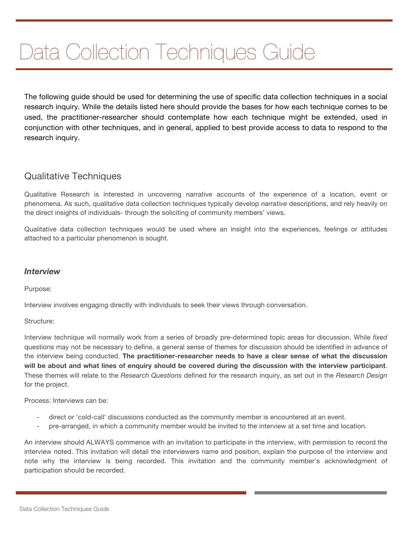# Data Collection Techniques Guide

The following guide should be used for determining the use of specific data collection techniques in a social research inquiry. While the details listed here should provide the bases for how each technique comes to be used, the practitioner-researcher should contemplate how each technique might be extended, used in conjunction with other techniques, and in general, applied to best provide access to data to respond to the research inquiry.

## Qualitative Techniques

Qualitative Research is interested in uncovering narrative accounts of the experience of a location, event or phenomena. As such, qualitative data collection techniques typically develop *narrative* descriptions, and rely heavily on the direct insights of individuals- through the soliciting of community members' views.

Qualitative data collection techniques would be used where an insight into the experiences, feelings or attitudes attached to a particular phenomenon is sought.

## *Interview*

Purpose:

Interview involves engaging directly with individuals to seek their views through conversation.

## Structure:

Interview technique will normally work from a series of broadly pre-determined topic areas for discussion. While *fixed* questions may not be necessary to define, a general sense of themes for discussion should be identified in advance of the interview being conducted. **The practitioner-researcher needs to have a clear sense of what the discussion will be about and what lines of enquiry should be covered during the discussion with the interview participant**. These themes will relate to the *Research Questions* defined for the research inquiry, as set out in the *Research Design* for the project.

Process: Interviews can be:

- direct or 'cold-call' discussions conducted as the community member is encountered at an event.
- pre-arranged, in which a community member would be invited to the interview at a set time and location.

An interview should ALWAYS commence with an invitation to participate in the interview, with permission to record the interview noted. This invitation will detail the interviewers name and position, explain the purpose of the interview and note why the interview is being recorded. This invitation and the community member's acknowledgment of participation should be recorded.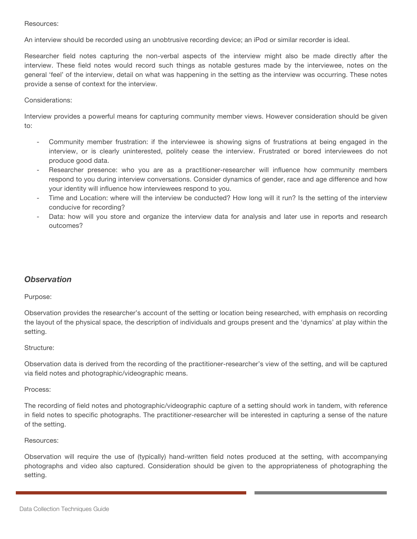#### Resources:

An interview should be recorded using an unobtrusive recording device; an iPod or similar recorder is ideal.

Researcher field notes capturing the non-verbal aspects of the interview might also be made directly after the interview. These field notes would record such things as notable gestures made by the interviewee, notes on the general 'feel' of the interview, detail on what was happening in the setting as the interview was occurring. These notes provide a sense of context for the interview.

#### Considerations:

Interview provides a powerful means for capturing community member views. However consideration should be given to:

- Community member frustration: if the interviewee is showing signs of frustrations at being engaged in the interview, or is clearly uninterested, politely cease the interview. Frustrated or bored interviewees do not produce good data.
- Researcher presence: who you are as a practitioner-researcher will influence how community members respond to you during interview conversations. Consider dynamics of gender, race and age difference and how your identity will influence how interviewees respond to you.
- Time and Location: where will the interview be conducted? How long will it run? Is the setting of the interview conducive for recording?
- Data: how will you store and organize the interview data for analysis and later use in reports and research outcomes?

## *Observation*

#### Purpose:

Observation provides the researcher's account of the setting or location being researched, with emphasis on recording the layout of the physical space, the description of individuals and groups present and the 'dynamics' at play within the setting.

#### Structure:

Observation data is derived from the recording of the practitioner-researcher's view of the setting, and will be captured via field notes and photographic/videographic means.

#### Process:

The recording of field notes and photographic/videographic capture of a setting should work in tandem, with reference in field notes to specific photographs. The practitioner-researcher will be interested in capturing a sense of the nature of the setting.

#### Resources:

Observation will require the use of (typically) hand-written field notes produced at the setting, with accompanying photographs and video also captured. Consideration should be given to the appropriateness of photographing the setting.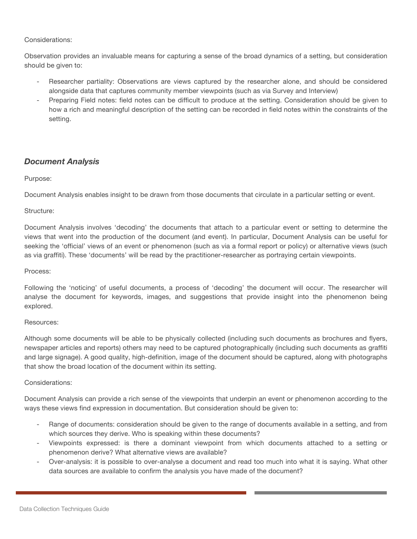#### Considerations:

Observation provides an invaluable means for capturing a sense of the broad dynamics of a setting, but consideration should be given to:

- Researcher partiality: Observations are views captured by the researcher alone, and should be considered alongside data that captures community member viewpoints (such as via Survey and Interview)
- Preparing Field notes: field notes can be difficult to produce at the setting. Consideration should be given to how a rich and meaningful description of the setting can be recorded in field notes within the constraints of the setting.

## *Document Analysis*

#### Purpose:

Document Analysis enables insight to be drawn from those documents that circulate in a particular setting or event.

#### Structure:

Document Analysis involves 'decoding' the documents that attach to a particular event or setting to determine the views that went into the production of the document (and event). In particular, Document Analysis can be useful for seeking the 'official' views of an event or phenomenon (such as via a formal report or policy) or alternative views (such as via graffiti). These 'documents' will be read by the practitioner-researcher as portraying certain viewpoints.

#### Process:

Following the 'noticing' of useful documents, a process of 'decoding' the document will occur. The researcher will analyse the document for keywords, images, and suggestions that provide insight into the phenomenon being explored.

#### Resources:

Although some documents will be able to be physically collected (including such documents as brochures and flyers, newspaper articles and reports) others may need to be captured photographically (including such documents as graffiti and large signage). A good quality, high-definition, image of the document should be captured, along with photographs that show the broad location of the document within its setting.

#### Considerations:

Document Analysis can provide a rich sense of the viewpoints that underpin an event or phenomenon according to the ways these views find expression in documentation. But consideration should be given to:

- Range of documents: consideration should be given to the range of documents available in a setting, and from which sources they derive. Who is speaking within these documents?
- Viewpoints expressed: is there a dominant viewpoint from which documents attached to a setting or phenomenon derive? What alternative views are available?
- Over-analysis: it is possible to over-analyse a document and read too much into what it is saying. What other data sources are available to confirm the analysis you have made of the document?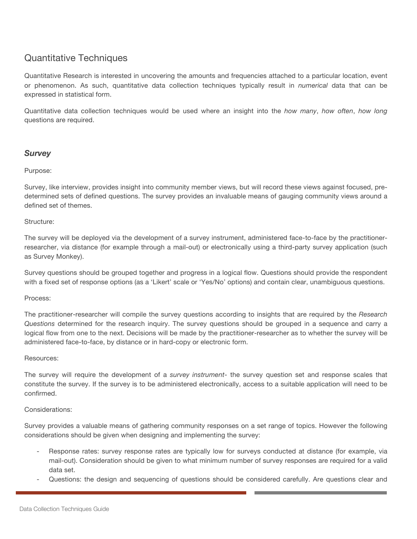# Quantitative Techniques

Quantitative Research is interested in uncovering the amounts and frequencies attached to a particular location, event or phenomenon. As such, quantitative data collection techniques typically result in *numerical* data that can be expressed in statistical form.

Quantitative data collection techniques would be used where an insight into the *how many*, *how often*, *how long* questions are required.

## *Survey*

#### Purpose:

Survey, like interview, provides insight into community member views, but will record these views against focused, predetermined sets of defined questions. The survey provides an invaluable means of gauging community views around a defined set of themes.

#### Structure:

The survey will be deployed via the development of a survey instrument, administered face-to-face by the practitionerresearcher, via distance (for example through a mail-out) or electronically using a third-party survey application (such as Survey Monkey).

Survey questions should be grouped together and progress in a logical flow. Questions should provide the respondent with a fixed set of response options (as a 'Likert' scale or 'Yes/No' options) and contain clear, unambiguous questions.

#### Process:

The practitioner-researcher will compile the survey questions according to insights that are required by the *Research Questions* determined for the research inquiry. The survey questions should be grouped in a sequence and carry a logical flow from one to the next. Decisions will be made by the practitioner-researcher as to whether the survey will be administered face-to-face, by distance or in hard-copy or electronic form.

#### Resources:

The survey will require the development of a *survey instrument*- the survey question set and response scales that constitute the survey. If the survey is to be administered electronically, access to a suitable application will need to be confirmed.

#### Considerations:

Survey provides a valuable means of gathering community responses on a set range of topics. However the following considerations should be given when designing and implementing the survey:

- Response rates: survey response rates are typically low for surveys conducted at distance (for example, via mail-out). Consideration should be given to what minimum number of survey responses are required for a valid data set.
- Questions: the design and sequencing of questions should be considered carefully. Are questions clear and